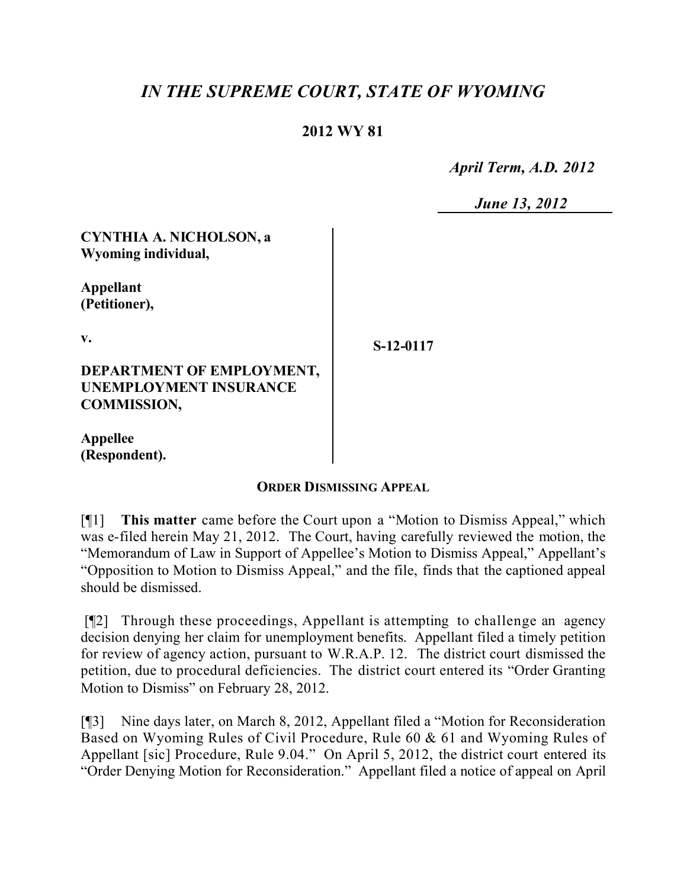## *IN THE SUPREME COURT, STATE OF WYOMING*

## **2012 WY 81**

 *April Term, A.D. 2012*

 *June 13, 2012*

**CYNTHIA A. NICHOLSON, a Wyoming individual,**

**Appellant (Petitioner),**

**v.**

**S-12-0117**

**DEPARTMENT OF EMPLOYMENT, UNEMPLOYMENT INSURANCE COMMISSION,**

**Appellee (Respondent).**

## **ORDER DISMISSING APPEAL**

[¶1] **This matter** came before the Court upon a "Motion to Dismiss Appeal," which was e-filed herein May 21, 2012. The Court, having carefully reviewed the motion, the "Memorandum of Law in Support of Appellee's Motion to Dismiss Appeal," Appellant's "Opposition to Motion to Dismiss Appeal," and the file, finds that the captioned appeal should be dismissed.

[¶2] Through these proceedings, Appellant is attempting to challenge an agency decision denying her claim for unemployment benefits. Appellant filed a timely petition for review of agency action, pursuant to W.R.A.P. 12. The district court dismissed the petition, due to procedural deficiencies. The district court entered its "Order Granting Motion to Dismiss" on February 28, 2012.

[¶3] Nine days later, on March 8, 2012, Appellant filed a "Motion for Reconsideration Based on Wyoming Rules of Civil Procedure, Rule 60 & 61 and Wyoming Rules of Appellant [sic] Procedure, Rule 9.04." On April 5, 2012, the district court entered its "Order Denying Motion for Reconsideration." Appellant filed a notice of appeal on April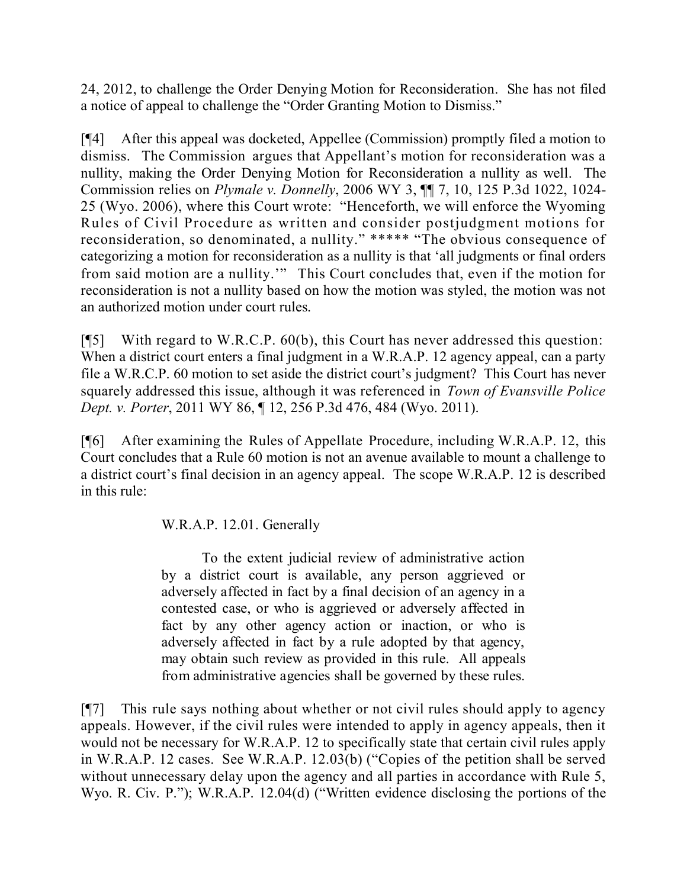24, 2012, to challenge the Order Denying Motion for Reconsideration. She has not filed a notice of appeal to challenge the "Order Granting Motion to Dismiss."

[¶4] After this appeal was docketed, Appellee (Commission) promptly filed a motion to dismiss. The Commission argues that Appellant's motion for reconsideration was a nullity, making the Order Denying Motion for Reconsideration a nullity as well. The Commission relies on *Plymale v. Donnelly*, 2006 WY 3, ¶¶ 7, 10, 125 P.3d 1022, 1024- 25 (Wyo. 2006), where this Court wrote: "Henceforth, we will enforce the Wyoming Rules of Civil Procedure as written and consider postjudgment motions for reconsideration, so denominated, a nullity." \*\*\*\*\* "The obvious consequence of categorizing a motion for reconsideration as a nullity is that 'all judgments or final orders from said motion are a nullity.'" This Court concludes that, even if the motion for reconsideration is not a nullity based on how the motion was styled, the motion was not an authorized motion under court rules.

[¶5] With regard to W.R.C.P. 60(b), this Court has never addressed this question: When a district court enters a final judgment in a W.R.A.P. 12 agency appeal, can a party file a W.R.C.P. 60 motion to set aside the district court's judgment? This Court has never squarely addressed this issue, although it was referenced in *Town of Evansville Police Dept. v. Porter*, 2011 WY 86, ¶ 12, 256 P.3d 476, 484 (Wyo. 2011).

[¶6] After examining the Rules of Appellate Procedure, including W.R.A.P. 12, this Court concludes that a Rule 60 motion is not an avenue available to mount a challenge to a district court's final decision in an agency appeal. The scope W.R.A.P. 12 is described in this rule:

W.R.A.P. 12.01. Generally

To the extent judicial review of administrative action by a district court is available, any person aggrieved or adversely affected in fact by a final decision of an agency in a contested case, or who is aggrieved or adversely affected in fact by any other agency action or inaction, or who is adversely affected in fact by a rule adopted by that agency, may obtain such review as provided in this rule. All appeals from administrative agencies shall be governed by these rules.

[¶7] This rule says nothing about whether or not civil rules should apply to agency appeals. However, if the civil rules were intended to apply in agency appeals, then it would not be necessary for W.R.A.P. 12 to specifically state that certain civil rules apply in W.R.A.P. 12 cases. See W.R.A.P. 12.03(b) ("Copies of the petition shall be served without unnecessary delay upon the agency and all parties in accordance with Rule 5, Wyo. R. Civ. P."); W.R.A.P. 12.04(d) ("Written evidence disclosing the portions of the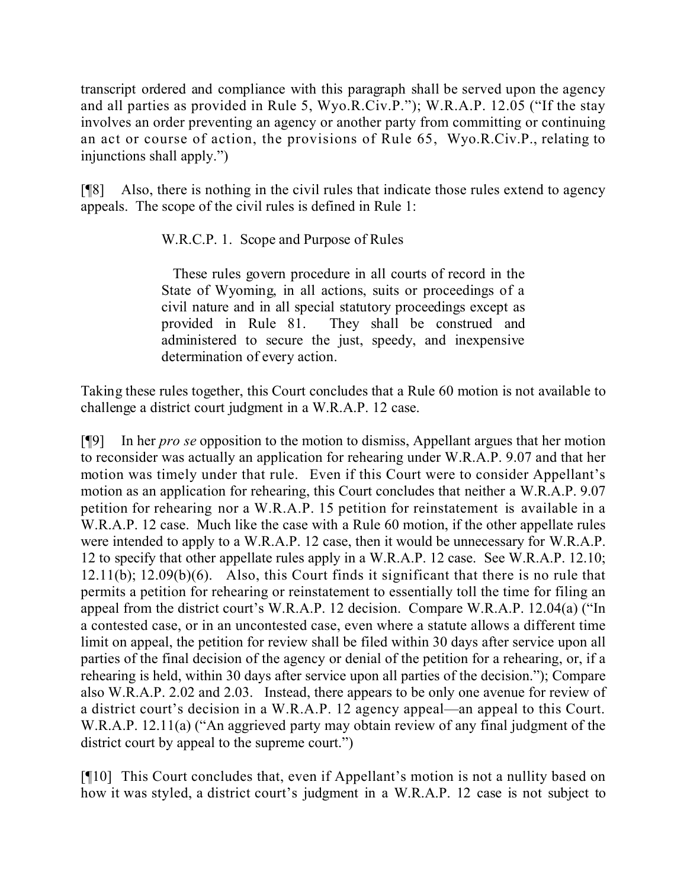transcript ordered and compliance with this paragraph shall be served upon the agency and all parties as provided in Rule 5, Wyo.R.Civ.P."); W.R.A.P. 12.05 ("If the stay involves an order preventing an agency or another party from committing or continuing an act or course of action, the provisions of Rule 65, Wyo.R.Civ.P., relating to injunctions shall apply.")

[¶8] Also, there is nothing in the civil rules that indicate those rules extend to agency appeals. The scope of the civil rules is defined in Rule 1:

W.R.C.P. 1. Scope and Purpose of Rules

These rules govern procedure in all courts of record in the State of Wyoming, in all actions, suits or proceedings of a civil nature and in all special statutory proceedings except as provided in Rule 81. They shall be construed and administered to secure the just, speedy, and inexpensive determination of every action.

Taking these rules together, this Court concludes that a Rule 60 motion is not available to challenge a district court judgment in a W.R.A.P. 12 case.

[¶9] In her *pro se* opposition to the motion to dismiss, Appellant argues that her motion to reconsider was actually an application for rehearing under W.R.A.P. 9.07 and that her motion was timely under that rule. Even if this Court were to consider Appellant's motion as an application for rehearing, this Court concludes that neither a W.R.A.P. 9.07 petition for rehearing nor a W.R.A.P. 15 petition for reinstatement is available in a W.R.A.P. 12 case. Much like the case with a Rule 60 motion, if the other appellate rules were intended to apply to a W.R.A.P. 12 case, then it would be unnecessary for W.R.A.P. 12 to specify that other appellate rules apply in a W.R.A.P. 12 case. See W.R.A.P. 12.10; 12.11(b); 12.09(b)(6). Also, this Court finds it significant that there is no rule that permits a petition for rehearing or reinstatement to essentially toll the time for filing an appeal from the district court's W.R.A.P. 12 decision. Compare W.R.A.P. 12.04(a) ("In a contested case, or in an uncontested case, even where a statute allows a different time limit on appeal, the petition for review shall be filed within 30 days after service upon all parties of the final decision of the agency or denial of the petition for a rehearing, or, if a rehearing is held, within 30 days after service upon all parties of the decision."); Compare also W.R.A.P. 2.02 and 2.03. Instead, there appears to be only one avenue for review of a district court's decision in a W.R.A.P. 12 agency appeal—an appeal to this Court. W.R.A.P. 12.11(a) ("An aggrieved party may obtain review of any final judgment of the district court by appeal to the supreme court.")

[¶10] This Court concludes that, even if Appellant's motion is not a nullity based on how it was styled, a district court's judgment in a W.R.A.P. 12 case is not subject to